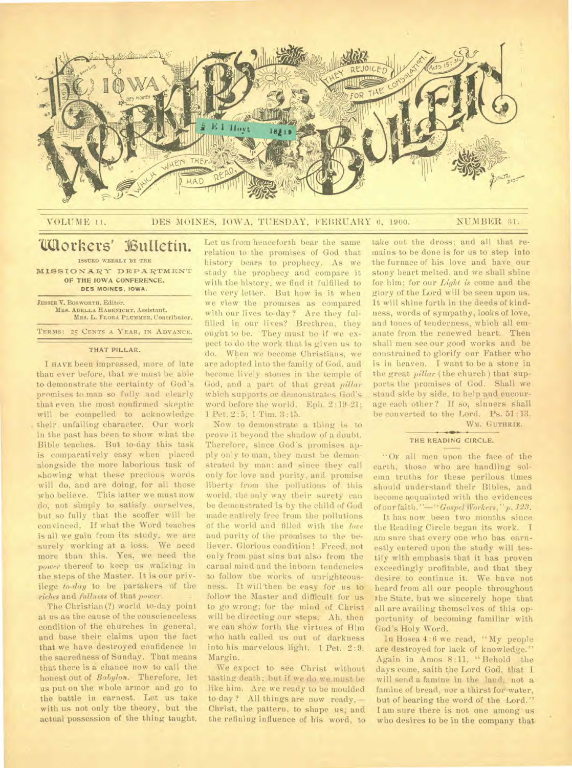

## VOLUME 11. DES MOINES, IOWA, TUESDAY, FEBRUARY 6, 1900. NUMBER 31.

# **Workers' Bulletin.**

**ISSUED WEEKLY BY THE** 

**MISSIONARY DEPARTMENT OF THE IOWA CONFERENCE, DES MOINES, IOWA.** 

**JESSIE V. BOSWORTH, Editor.** 

**Mas. ADELLA HABENICHT, Assistant. MRS. L. FLORA PLUMMER, Contributor.**  TERMS: **25 CENTS A** YEAR, **IN ADVANCE.** 

# **THAT PILLAR.**

I **HAVE** been impressed, more of late than ever before, that we must be able to demonstrate the certainty of God's promises to man so fully and clearly that even the most confirmed skeptic will be compelled to acknowledge their unfailing character. Our work in the past has been to show what the Bible teaches. But to-day this task is comparatively easy when placed alongside the more laborious task of showing what these precious words will do, and are doing, for all those who believe. This latter we must now do, not simply to satisfy ourselves, but so fully that the scoffer will be convinced. If what the Word teaches is all we gain from its study, we are surely working at a loss. We need more than this. Yes, we need the *power* thereof to keep us walking in the steps of the Master. It is our privilege *to-day* to be partakers of the *riches* and *fullness* of that *power.* 

The Christian (?) world to-day point at us as the cause of the conscienceless condition of the churches in general, and base their claims upon the fact that we have destroyed confidence in the sacredness of Sunday. That means that there is a chance now to call the honest out of *Babylon.* Therefore, let us put on the whole armor and go to the battle in earnest. Let us take with us not only the theory, but the actual possession of the thing taught. Let us from henceforth bear the same relation to the promises of God that history bears to prophecy. As we study the prophecy and compare it with the history, we find it fulfilled to the very letter. But how is it when we view the promises as compared with our lives to-day? Are they fulfilled in our lives? Brethren, they ought to be. They must be if we expect to do the work that is given us to do. When we become Christians, we are adopted into the family of God, and become lively stones in the temple of God, and a part of that great *pillar*  which supports or demonstrates God's word before the world. Eph. 2 :19-21; 1 Pet. 2:5; 1 Tim. 3:15.

Now to demonstrate a thing is to prove it beyond the shadow of a doubt. Therefore, since God's promises apply only to man, they must be demonstrated by man; and since they call only for love and purity, and promise liberty from the pollutions of this world, the only way their surety can be demonstrated is by the child of God made entirely free from the pollutions of the world and filled with the *love*  and purity of the promises to the believer. Glorious condition ! Freed, not only from past sins but also from the carnal mind and the inborn tendencies to follow the works of unrighteousness. It will 'then be easy for us to follow the Master and difficult for us to go wrong; for the mind of Christ will be directing our steps. Ah. then we can show forth the virtues of Him who hath called us out of darkness into his marvelous light. 1 Pet. 2:9. Margin.

We expect to see Christ without tasting death; but if we do we must be like him. Are we ready to be moulded to-day ? All things are now ready, — Christ, the pattern, to shape us; and the refining influence of his word, to take out the dross; and all that remains to be done is for us to step into the furnace of his love and have our stony heart melted, and we shall shine for him; for our *Light is* come and the glory of the Lord will be seen upon us. It will shine forth in the deeds of kindness, words of sympathy, looks of love, and tones of tenderness, which all emanate from the renewed heart. Then shall men see our good works and be constrained to glorify our Father who is in heaven. I want to be a stone in the great *pillar* (the church) that supports the promises of God. Shall we stand side by side, to help and encourage each other? If so, sinners shall be converted to the Lord. Ps. 51:13. WM. GUTHRIE.

#### **THE READING CIRCLE.**

"Or all men upon the face of the earth, those who are handling solemn truths for these perilous times should understand their Bibles, and become acquainted with the evidences of our faith. "—" *Gospel Workers," p.123.* 

It has now been two months since the Reading Circle began its work. I am sure that every one who has earnestly entered upon the study will testify with emphasis that it has proven exceedingly profitable, and that they desire to continue it. We have not heard from all our people throughout the State, but we sincerely hope that all are availing themselves of this opportunity of becoming familiar with God's Holy Word.

In Hosea 4:6 we read, "My people are destroyed for lack of knowledge." Again in Amos 8:11, "Behold the days come, saith the Lord God, that I will send a famine in the land, not a famine of bread, nor a thirst for water, but of hearing the word of the Lord." I am sure there is not one among us who desires to be in the company that-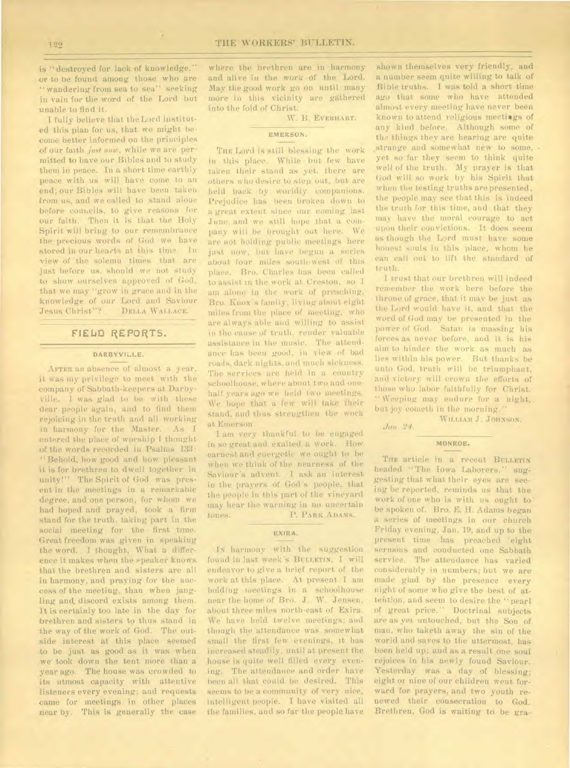*is* "destroyed for lack of knowledge," or to be found among those who are "wandering from sea to sea" seeking in vain for the word of the Lord but unable to find it.

I fully believe that the Lord instituted this plan for us, that we might become better informed on the principles of our faith *just* now, while we are permitted to have our Bibles and to study them in peace. In a short time earthly peace with us will have come to an end; our Bibles will have been taken from us, and we called to stand alone before councils, to give reasons for our faith. Then it is that the Holy Spirit will bring to our remembrance the precious words of God we have stored in our hearts at this time. In view of the solemn times that are just before us, should we not study to show ourselves approved of God, that we may "grow in grace and in the knowledge of our Lord and Saviour DELLA WALLACE.

# **F1E140 REPORTS.**

#### • DARBYVILLE.

AFTER an absence of almost a year, it was my privilege to meet with the company of Sabbath-keepers at Darbyville. I was glad to be with these dear people again, and to find them rejoicing in the truth and all working in harmony for the Master. As I entered the place of worship I thought of the words recorded in Psalms 133: " Behold, how good and how pleasant it is for brethren to dwell together in unity!" The Spirit of God was present in the meetings in a remarkable degree, and one person, for whom we had hoped and prayed, took a firm stand for the truth, taking part in the social meeting for the first time. Great freedom was given in speaking the word. I thought, What a difference it makes when the speaker knows that the brethren and sisters are all in harmony, and praying for the success of the meeting,, than when jangling and, discord exists among them. It is certainly too late in the day for brethren and sisters to thus stand in the way of the work of God. The outside interest at this place seemed to be just as good as it was when we took down the tent more than a year ago. The house was crowded to its utmost capacity with attentive listeners every evening; and requests came for meetings in other places near by. This is generally the case

where the brethren are in harmony and alive in the work of the Lord. May the good work go on until many more in this vicinity are gathered into the fold of Christ.

W. B. EVEIHART.

# EMERSON.

THE Lord is still blessing the work in this place. While but few have taken their stand as yet, there are others who desire to step out, but are held back by worldly companions. Prejudice has been broken down to a great extent since our coming last June;and we still hope that a company will be brought out here. We are not holding public meetings here just now, but have begun a series about four miles south-west of this place. Bro. Charles has been called to assist in the work at Creston, so 1 am alone in the work of preaching. Bro. Knox's family, living about eight miles from the place of meeting, who are always able and willing to assist in the cause of truth, render valuable assistance in the music. The attendance has been good, in view of bad roads, dark nights, and much sickness. The services are held in a country schoolhouse, where about two and onehalf years ago we held two meetings. We hope that a few will take their stand, and thus strengthen the work at Emerson.

I am very thankful to be engaged in so great and exalted a work. How earnest and energetic we ought to be when we think of the nearness of the Saviour's advent. I ask an interest in the prayers of God's people, that the people in this part of the vineyard may hear the warning in no uncertain tones. P. PARK ADAMS.

### EXTRA.

IN harmony with the suggestion found in last week's BULLETIN. I will endeavor to give a brief report of the work at this place. At present I am holding meetings in a schoolhouse near the home of Bro. J. W. Jensen, about three miles north-east of Exira. We have held twelve meetings; and though the attendance was somewhat small the first few evenings, it has increased steadily, until at present the house is quite well filled every evening. The attendance and order have been all that could be desired. This seems to be a community of very nice, intelligent people. I have visited all the families, and so far the people have

shown themselves very friendly, and a number seem quite willing to talk of Bible truths. I was told a short time ago that some who have attended almost every meeting have never been known to attend religious meetiags of any kind before. Although some of the things they are hearing are quite strange and somewhat new to some, yet so far they seem to think quite well of the truth. My prayer is that God will so work by his Spirit that when the testing truths are presented, the people may see that this is indeed the truth for this time, and that they may have the moral courage to act upon their convictions. It does seem as though the Lord must have some honest souls iu this place, whom he can call out to lift the standard of truth.

I trust that our brethren will indeed remember the work here before the throne of grace, that it may be just as the Lord would have it, and that the word of God may be presented in the power of God. Satan is massing his forces as never before, and it is his aim to hinder the work as much as lies within his power. But thanks be unto God, truth will be triumphant, and victory will crown the efforts of those who labor faithfully for Christ. Weeping may endure for a night, but joy cometh in the morning.'

WILLIAM J. JOHNSON. *.1011.* 24.

## MONROE.

THE article in a recent BULLETIN headed ''The Iowa Laborers," suggesting that what their eyes are seeing be reported, reminds us that the work of one who is with us ought to be spoken of. Bro. E. H. Adams began a series of meetings in our church Friday evening, Jan. 19, and up to the present time has preached 'eight sermons and conducted one Sabbath service. The attendance has varied considerably in numbers; but we are made glad by the presence every night of some who give the best of attention, and seem to desire the " pearl of great price." Doctrinal subjects are as yet untouched, but the Son of man, who taketh away the sin of the world and saves to the uttermost, has been held up; and as a result one soul rejoices in his newly found Saviour. Yesterday was a day of blessing; eight or nine of our children went forward for prayers, and two youth renewed their consecration to God. Brethren, God is waiting to be gra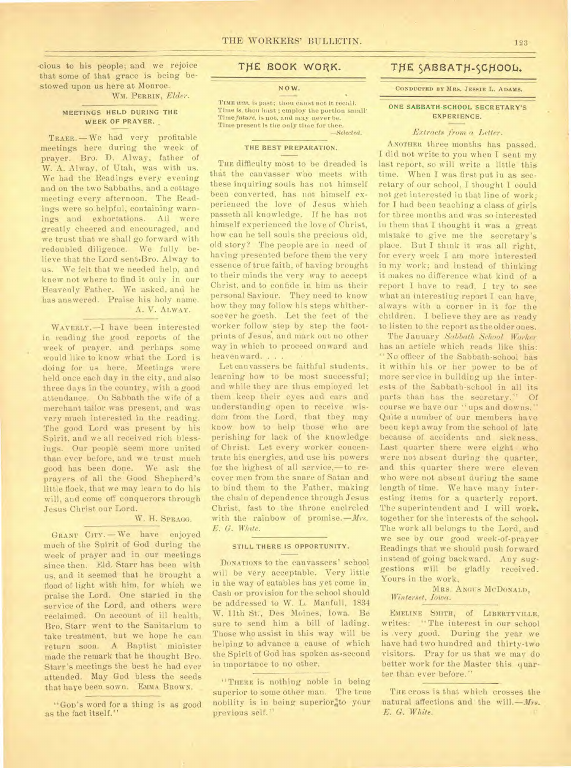cious to his people; and we rejoice that some of that grace is being bestowed upon us here at Monroe.

WM. PERRIN, *Elder.* 

# MEETINGS HELD DURING THE WEEK OF PRAYER.

TRAER. —We had very profitable meetings here during the week of prayer. Bro. D. Alway, father of W. A. Alway, of Utah, was with us. We had the Readings every evening and on the two Sabbaths, and a cottage meeting every afternoon. The Readings were so helpful, containing warnings and exhortations. All were greatly cheered and encouraged, and we trust that we shall go forward with redoubled diligence. We fully believe that the Lord sent.Bro. Alway to us. We felt that we needed help, and knew not where to find it only in our Heavenly Father. We asked, and he has answered. Praise his holy name.

# A. V. ALwAY.

WAVERLY.—I have been interested in reading the good reports of the week of prayer, and perhaps some would like to know what the Lord is doing for us here. Meetings were held once each day in the city, and also three days in the country, with a good attendance. On Sabbath the wife of a merchant tailor was present, and was very much interested in the reading. The good Lord was present by his Spirit, and we all received rich blessings. Our people seem more united than ever before, and we trust much good has been done. We ask the prayers of all the Good Shepherd's little flock, that we may learn to do his will, and come off conquerors through Jesus Christ our Lord.

# W. H. SPRAGG.

GRANT CITY. —We have enjoyed much of the Spirit of God during the week of prayer and in our meetings since then. Eld. Starr has been with us, and it seemed that he brought a flood of light with him, for which we praise the Lord. One started in the service of the Lord, and others were reclaimed. On account of ill health, Bro, Starr went to the Sanitarium to take treatment, but we hope he can return soon. A Baptist minister made the remark that he thought Bro. Starr's meetings the best he had ever attended. May God bless the seeds that have been sown. EMMA BROWN.

as the fact itself."

### THE BOOK WORK.

# NOW.

TIME *was*, is past; thou eanst not it recall. Time *is.* thou bast ; employ the portion small' Time *future, is* not, and may never be. Time present is the only time for thee. *—Selected.* 

#### THE BEST PREPARATION.

THE difficulty most to be dreaded is that the canvasser who meets with these inquiring souls has not himself been converted, has not himself experienced the love of Jesus which passeth all knowledge. If he has not himself experienced the love of Christ, how can he tell souls the precious old, old story? The people are in need of having presented before them the very essence of true faith, of having brought to their minds the very way to accept Christ, and to confide in him as their personal Saviour. They need to know how they may follow his steps whithersoever he goeth. Let the feet of the worker follow step by step the footprints of Jesus, and mark out no other way in which to proceed onward and heavenward. . . .

Let canvassers be faithful students, learning how to be most successful; and while they are thus employed let them keep their eyes and ears and understanding open to receive wisdom from the Lord, that they may know how to help those who are perishing for lack of the knowledge of Christ. Let every worker concentrate his energies, and use his powers for the highest of all service,—to recover men from the snare of Satan and to bind them to the Father, making the chain of dependence through Jesus Christ, fast to the throne encircled with the rainbow of promise. *—Mrs. E. G. White.* 

### STILL THERE IS OPPORTUNITY.

DONATIONS to the canvassers' school will be very acceptable. Very little in the way of eatables has yet come in, Cash or provision for the school should be addressed to W. L. Manfull, 1834 W. 11th St:, Des Moines, Iowa. Be sure to send him a bill of lading. Those who assist in this way will be helping to advance a cause of which the Spirit of God has spoken as second in importance to no other.

"THERE is nothing noble in being superior to some other man. The true "Gop's word for a thing is as good nobility is in being superior<sub>atio</sub> your previous self."

# THE SABBATH-SCHOOL.

CONDUCTED BY MRS. JESSIE L. ADAMS.

### ONE SABBATH-SCHOOL SECRETARY'S EXPERIENCE.

### *Extracts from a Letter.*

ANOTHER three months has passed. I did not write to you when I sent my last report, so will write a little this time. When I was first put in as secretary of our school, I thought I could not get interested in that line of work; for I had been teaching a class of girls for three months and was so interested in them that I thought it was a great mistake to give me the secretary's place. But I think it was all right. for every week I am more interested in my work; and instead of thinking it makes no difference what kind of a report I have to read, I try to see what an interesting report I can have, always with a corner in it for the children. I believe they are as ready to listen to the report as the older ones.

The January *Sabbath School Worker*  has an article which reads like this: "No officer of the Sabbath-school has it within his or her power to be of more service in building up the interests of the Sabbath-school in all its parts than has the secretary." Of course we have our "ups and downs." Quite a number of our members have been kept away from the school of late because of accidents and sickness. Last quarter there were eight who were not absent during the quarter, and this quarter there were eleven who were not absent during the same length of time. We have many interesting items for a quarterly report. The superintendent and I will work. together for the interests of the school. The work all belongs to the Lord, and we see by our good week-of-prayer Readings that we should push forward instead of going backward. Any suggestions will be gladly received. Yours in the work,

MRS. ANGUS MCDONALD, Winterset, *Iowa*.

EMELINE SMITH, Of LIBERTYVILLE, writes: " The interest in our school is .very good. During the year we have had two hundred and thirty-two visitors. Pray for us that we may do better work for the Master this quarter than ever before."

THE cross is that which crosses the natural affections and the will. *—Mrs. E. G. White.*